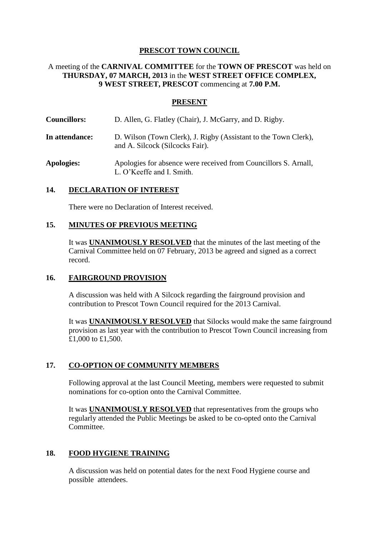## **PRESCOT TOWN COUNCIL**

## A meeting of the **CARNIVAL COMMITTEE** for the **TOWN OF PRESCOT** was held on **THURSDAY, 07 MARCH, 2013** in the **WEST STREET OFFICE COMPLEX, 9 WEST STREET, PRESCOT** commencing at **7.00 P.M.**

### **PRESENT**

- **Councillors:** D. Allen, G. Flatley (Chair), J. McGarry, and D. Rigby.
- **In attendance:** D. Wilson (Town Clerk), J. Rigby (Assistant to the Town Clerk), and A. Silcock (Silcocks Fair).
- **Apologies:** Apologies for absence were received from Councillors S. Arnall, L. O'Keeffe and I. Smith.

#### **14. DECLARATION OF INTEREST**

There were no Declaration of Interest received.

#### **15. MINUTES OF PREVIOUS MEETING**

It was **UNANIMOUSLY RESOLVED** that the minutes of the last meeting of the Carnival Committee held on 07 February, 2013 be agreed and signed as a correct record.

#### **16. FAIRGROUND PROVISION**

A discussion was held with A Silcock regarding the fairground provision and contribution to Prescot Town Council required for the 2013 Carnival.

It was **UNANIMOUSLY RESOLVED** that Silocks would make the same fairground provision as last year with the contribution to Prescot Town Council increasing from £1,000 to £1,500.

#### **17. CO-OPTION OF COMMUNITY MEMBERS**

Following approval at the last Council Meeting, members were requested to submit nominations for co-option onto the Carnival Committee.

It was **UNANIMOUSLY RESOLVED** that representatives from the groups who regularly attended the Public Meetings be asked to be co-opted onto the Carnival Committee.

#### **18. FOOD HYGIENE TRAINING**

A discussion was held on potential dates for the next Food Hygiene course and possible attendees.